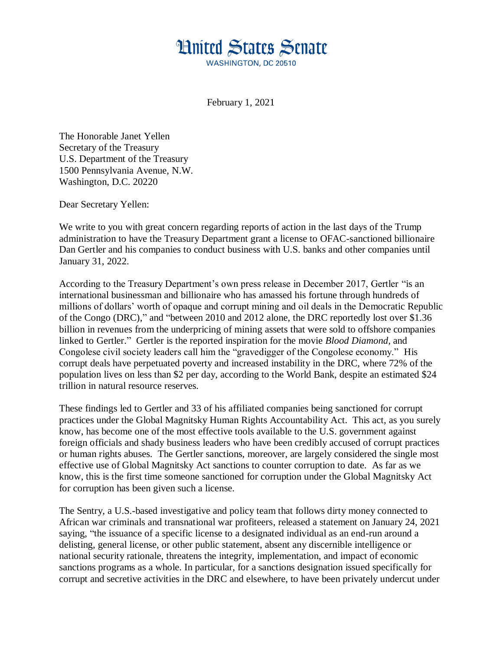## **Hnited States Senate WASHINGTON, DC 20510**

February 1, 2021

The Honorable Janet Yellen Secretary of the Treasury U.S. Department of the Treasury 1500 Pennsylvania Avenue, N.W. Washington, D.C. 20220

Dear Secretary Yellen:

We write to you with great concern regarding reports of action in the last days of the Trump administration to have the Treasury Department grant a license to OFAC-sanctioned billionaire Dan Gertler and his companies to conduct business with U.S. banks and other companies until January 31, 2022.

According to the Treasury Department's own press release in December 2017, Gertler "is an international businessman and billionaire who has amassed his fortune through hundreds of millions of dollars' worth of opaque and corrupt mining and oil deals in the Democratic Republic of the Congo (DRC)," and "between 2010 and 2012 alone, the DRC reportedly lost over \$1.36 billion in revenues from the underpricing of mining assets that were sold to offshore companies linked to Gertler." Gertler is the reported inspiration for the movie *Blood Diamond,* and Congolese civil society leaders call him the "gravedigger of the Congolese economy." His corrupt deals have perpetuated poverty and increased instability in the DRC, where 72% of the population lives on less than \$2 per day, according to the World Bank, despite an estimated \$24 trillion in natural resource reserves.

These findings led to Gertler and 33 of his affiliated companies being sanctioned for corrupt practices under the Global Magnitsky Human Rights Accountability Act. This act, as you surely know, has become one of the most effective tools available to the U.S. government against foreign officials and shady business leaders who have been credibly accused of corrupt practices or human rights abuses. The Gertler sanctions, moreover, are largely considered the single most effective use of Global Magnitsky Act sanctions to counter corruption to date. As far as we know, this is the first time someone sanctioned for corruption under the Global Magnitsky Act for corruption has been given such a license.

The Sentry, a U.S.-based investigative and policy team that follows dirty money connected to African war criminals and transnational war profiteers, released a statement on January 24, 2021 saying, "the issuance of a specific license to a designated individual as an end-run around a delisting, general license, or other public statement, absent any discernible intelligence or national security rationale, threatens the integrity, implementation, and impact of economic sanctions programs as a whole. In particular, for a sanctions designation issued specifically for corrupt and secretive activities in the DRC and elsewhere, to have been privately undercut under